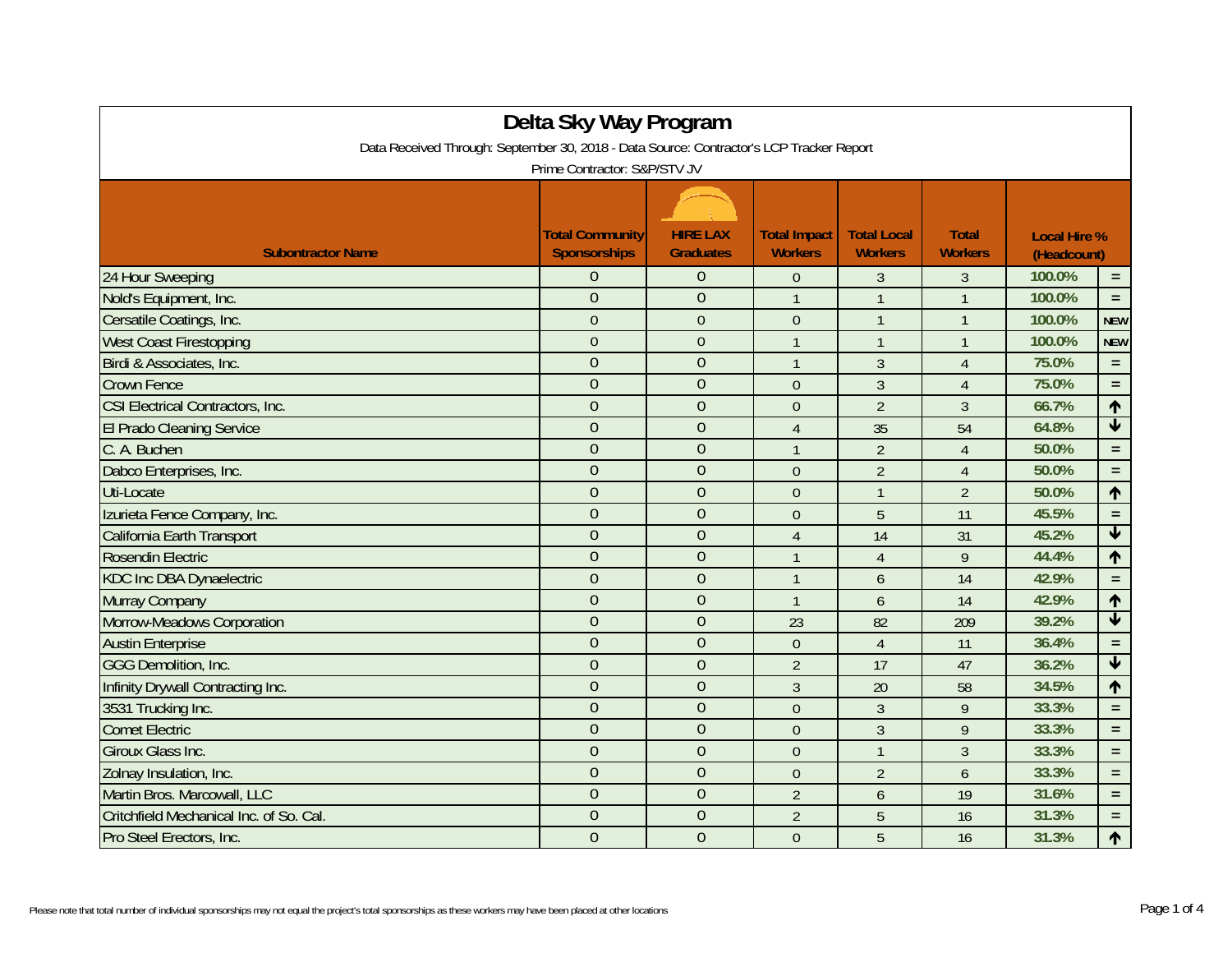|                                                                                          | Delta Sky Way Program  |                  |                     |                    |                |             |                         |  |
|------------------------------------------------------------------------------------------|------------------------|------------------|---------------------|--------------------|----------------|-------------|-------------------------|--|
| Data Received Through: September 30, 2018 - Data Source: Contractor's LCP Tracker Report |                        |                  |                     |                    |                |             |                         |  |
| Prime Contractor: S&P/STV JV                                                             |                        |                  |                     |                    |                |             |                         |  |
|                                                                                          |                        |                  |                     |                    |                |             |                         |  |
|                                                                                          | <b>Total Community</b> | <b>HIRE LAX</b>  | <b>Total Impact</b> | <b>Total Local</b> | <b>Total</b>   |             | <b>Local Hire %</b>     |  |
| <b>Subontractor Name</b>                                                                 | Sponsorships           | <b>Graduates</b> | <b>Workers</b>      | <b>Workers</b>     | <b>Workers</b> | (Headcount) |                         |  |
| 24 Hour Sweeping                                                                         | $\Omega$               | $\theta$         | $\theta$            | $\overline{3}$     | 3              | 100.0%      | $\equiv$                |  |
| Nold's Equipment, Inc.                                                                   | $\overline{0}$         | $\mathbf{0}$     | $\mathbf{1}$        | $\mathbf{1}$       | $\mathbf{1}$   | 100.0%      | $\equiv$                |  |
| Cersatile Coatings, Inc.                                                                 | $\overline{0}$         | $\overline{0}$   | $\theta$            | $\mathbf{1}$       | $\mathbf{1}$   | 100.0%      | <b>NEW</b>              |  |
| <b>West Coast Firestopping</b>                                                           | $\overline{0}$         | $\theta$         | $\overline{1}$      | $\mathbf{1}$       | $\mathbf{1}$   | 100.0%      | <b>NEW</b>              |  |
| Birdi & Associates, Inc.                                                                 | $\overline{0}$         | $\overline{0}$   | $\mathbf{1}$        | 3                  | $\overline{4}$ | 75.0%       | $\equiv$                |  |
| <b>Crown Fence</b>                                                                       | $\overline{0}$         | $\overline{0}$   | $\mathbf{0}$        | $\overline{3}$     | $\overline{4}$ | 75.0%       | $\equiv$                |  |
| <b>CSI Electrical Contractors, Inc.</b>                                                  | $\overline{0}$         | $\overline{0}$   | $\mathbf{0}$        | $\overline{2}$     | $\overline{3}$ | 66.7%       | $\uparrow$              |  |
| <b>El Prado Cleaning Service</b>                                                         | $\overline{0}$         | $\mathbf{0}$     | $\overline{4}$      | 35                 | 54             | 64.8%       | $\blacklozenge$         |  |
| C. A. Buchen                                                                             | $\overline{0}$         | $\overline{0}$   | $\overline{1}$      | $\overline{2}$     | $\overline{4}$ | 50.0%       | $\equiv$                |  |
| Dabco Enterprises, Inc.                                                                  | $\overline{0}$         | $\overline{0}$   | $\mathbf{0}$        | $\overline{2}$     | $\overline{4}$ | 50.0%       | $\equiv$                |  |
| Uti-Locate                                                                               | $\overline{0}$         | $\overline{0}$   | $\theta$            | $\mathbf{1}$       | $\overline{2}$ | 50.0%       | $\uparrow$              |  |
| Izurieta Fence Company, Inc.                                                             | $\mathbf{0}$           | $\overline{0}$   | $\theta$            | 5                  | 11             | 45.5%       | $\equiv$                |  |
| California Earth Transport                                                               | $\overline{0}$         | $\overline{0}$   | $\overline{4}$      | 14                 | 31             | 45.2%       | $\blacklozenge$         |  |
| Rosendin Electric                                                                        | $\overline{0}$         | $\overline{0}$   | $\overline{1}$      | $\overline{4}$     | 9              | 44.4%       | $\uparrow$              |  |
| <b>KDC Inc DBA Dynaelectric</b>                                                          | $\overline{0}$         | $\overline{0}$   | $\overline{1}$      | 6                  | 14             | 42.9%       | $\equiv$                |  |
| Murray Company                                                                           | $\overline{0}$         | $\overline{0}$   | $\overline{1}$      | 6                  | 14             | 42.9%       | $\uparrow$              |  |
| Morrow-Meadows Corporation                                                               | $\overline{0}$         | $\overline{0}$   | 23                  | 82                 | 209            | 39.2%       | $\overline{\mathbf{v}}$ |  |
| <b>Austin Enterprise</b>                                                                 | $\overline{0}$         | $\overline{0}$   | $\theta$            | $\overline{4}$     | 11             | 36.4%       | $\equiv$                |  |
| <b>GGG Demolition, Inc.</b>                                                              | $\overline{0}$         | $\overline{0}$   | $\overline{2}$      | 17                 | 47             | 36.2%       | $\overline{\textbf{v}}$ |  |
| Infinity Drywall Contracting Inc.                                                        | $\overline{0}$         | $\mathbf{0}$     | $\overline{3}$      | 20                 | 58             | 34.5%       | $\uparrow$              |  |
| 3531 Trucking Inc.                                                                       | $\overline{0}$         | $\overline{0}$   | $\theta$            | 3                  | 9              | 33.3%       | $\equiv$                |  |
| <b>Comet Electric</b>                                                                    | $\overline{0}$         | $\overline{0}$   | $\theta$            | 3                  | 9              | 33.3%       | $\equiv$                |  |
| Giroux Glass Inc.                                                                        | $\overline{0}$         | $\overline{0}$   | $\theta$            | $\mathbf{1}$       | 3              | 33.3%       | $\equiv$                |  |
| Zolnay Insulation, Inc.                                                                  | $\overline{0}$         | $\overline{0}$   | $\overline{0}$      | $\overline{2}$     | 6              | 33.3%       | $\equiv$                |  |
| Martin Bros. Marcowall, LLC                                                              | $\overline{0}$         | $\overline{0}$   | $\overline{2}$      | $\mathfrak b$      | 19             | 31.6%       | $\equiv$                |  |
| Critchfield Mechanical Inc. of So. Cal.                                                  | $\overline{0}$         | $\overline{0}$   | $\overline{2}$      | 5                  | 16             | 31.3%       | $\equiv$                |  |
| Pro Steel Erectors, Inc.                                                                 | $\overline{0}$         | $\overline{0}$   | $\theta$            | 5                  | 16             | 31.3%       | $\uparrow$              |  |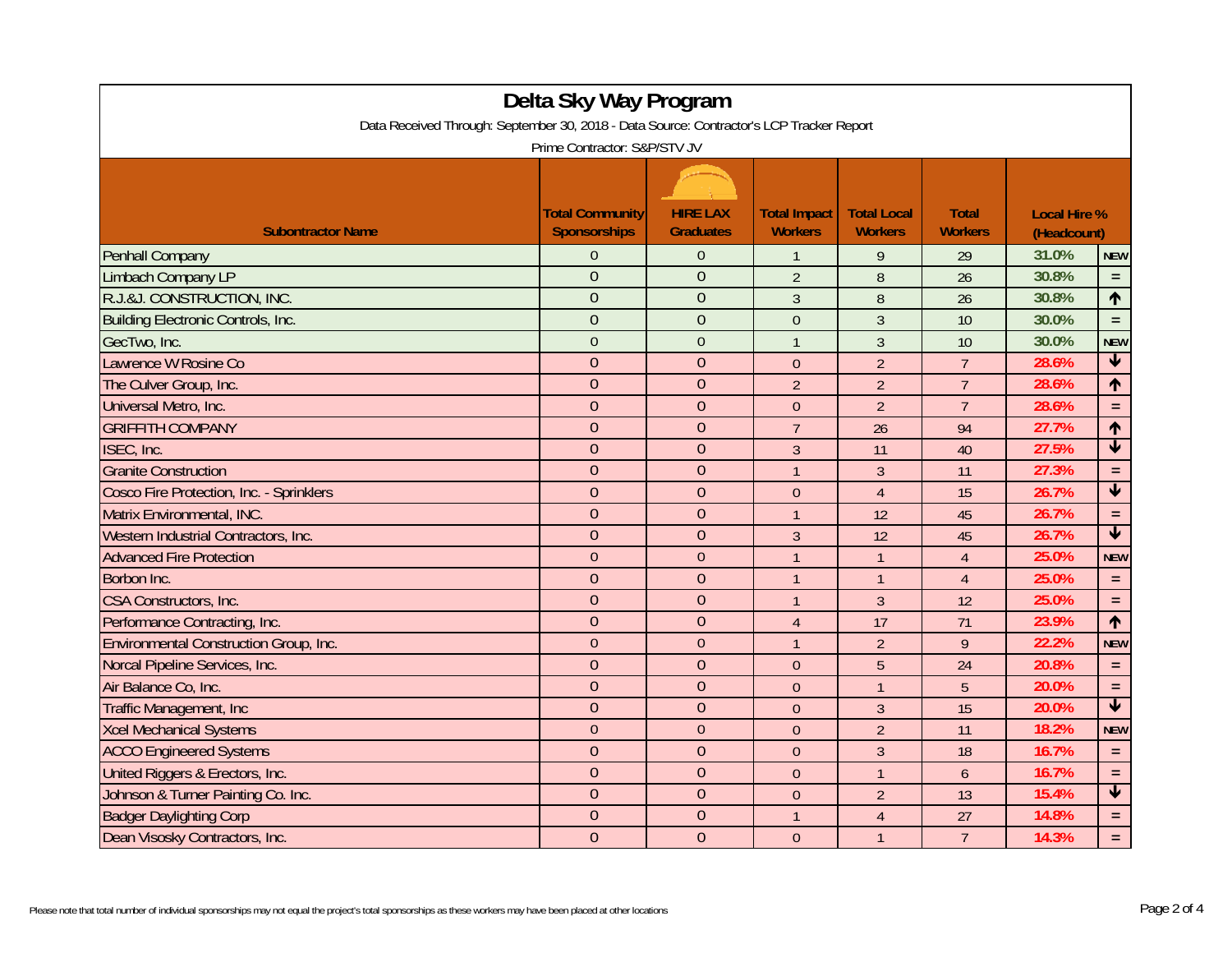| Delta Sky Way Program                                                                    |                        |                  |                     |                    |                |                     |                         |  |
|------------------------------------------------------------------------------------------|------------------------|------------------|---------------------|--------------------|----------------|---------------------|-------------------------|--|
| Data Received Through: September 30, 2018 - Data Source: Contractor's LCP Tracker Report |                        |                  |                     |                    |                |                     |                         |  |
| Prime Contractor: S&P/STV JV                                                             |                        |                  |                     |                    |                |                     |                         |  |
|                                                                                          |                        |                  |                     |                    |                |                     |                         |  |
|                                                                                          | <b>Total Community</b> | <b>HIRE LAX</b>  | <b>Total Impact</b> | <b>Total Local</b> | <b>Total</b>   | <b>Local Hire %</b> |                         |  |
| <b>Subontractor Name</b>                                                                 | <b>Sponsorships</b>    | <b>Graduates</b> | <b>Workers</b>      | <b>Workers</b>     | <b>Workers</b> | (Headcount)         |                         |  |
| Penhall Company                                                                          | $\Omega$               | $\boldsymbol{0}$ | $\mathbf{1}$        | 9                  | 29             | 31.0%               | <b>NEW</b>              |  |
| Limbach Company LP                                                                       | $\theta$               | $\overline{0}$   | $\overline{2}$      | $\boldsymbol{8}$   | 26             | 30.8%               | $\equiv$                |  |
| R.J.&J. CONSTRUCTION, INC.                                                               | $\overline{0}$         | $\overline{0}$   | $\mathfrak{Z}$      | $\boldsymbol{8}$   | 26             | 30.8%               | $\uparrow$              |  |
| <b>Building Electronic Controls, Inc.</b>                                                | $\overline{0}$         | $\overline{0}$   | $\overline{0}$      | $\overline{3}$     | 10             | 30.0%               | $\equiv$                |  |
| GecTwo, Inc.                                                                             | $\mathbf{0}$           | $\mathbf{0}$     | $\mathbf{1}$        | $\mathfrak{Z}$     | 10             | 30.0%               | <b>NEW</b>              |  |
| Lawrence W Rosine Co                                                                     | $\overline{0}$         | $\overline{0}$   | $\mathbf{0}$        | $\overline{2}$     | $\overline{7}$ | 28.6%               | $\overline{\textbf{v}}$ |  |
| The Culver Group, Inc.                                                                   | $\overline{0}$         | $\overline{0}$   | $\overline{2}$      | $\overline{2}$     | $\overline{7}$ | 28.6%               | $\uparrow$              |  |
| Universal Metro, Inc.                                                                    | $\overline{0}$         | $\overline{0}$   | $\Omega$            | $\overline{2}$     | $\overline{7}$ | 28.6%               | $\equiv$                |  |
| <b>GRIFFITH COMPANY</b>                                                                  | $\overline{0}$         | $\overline{0}$   | $\overline{7}$      | 26                 | 94             | 27.7%               | $\uparrow$              |  |
| ISEC, Inc.                                                                               | $\overline{0}$         | $\overline{0}$   | $\mathfrak{Z}$      | 11                 | 40             | 27.5%               | $\overline{\mathbf{V}}$ |  |
| <b>Granite Construction</b>                                                              | $\theta$               | $\overline{0}$   | $\mathbf{1}$        | $\overline{3}$     | 11             | 27.3%               | $=$ $\,$                |  |
| Cosco Fire Protection, Inc. - Sprinklers                                                 | $\overline{0}$         | $\overline{0}$   | $\boldsymbol{0}$    | $\overline{4}$     | 15             | 26.7%               | $\blacktriangledown$    |  |
| Matrix Environmental, INC.                                                               | $\mathbf{0}$           | $\theta$         | $\mathbf{1}$        | 12                 | 45             | 26.7%               | $\equiv$                |  |
| Western Industrial Contractors, Inc.                                                     | $\overline{0}$         | $\overline{0}$   | $\overline{3}$      | 12                 | 45             | 26.7%               | $\overline{\textbf{v}}$ |  |
| <b>Advanced Fire Protection</b>                                                          | $\overline{0}$         | $\mathbf{0}$     | $\mathbf{1}$        | $\overline{1}$     | $\overline{4}$ | 25.0%               | <b>NEW</b>              |  |
| Borbon Inc.                                                                              | $\Omega$               | $\overline{0}$   | $\overline{1}$      | $\mathbf{1}$       | $\overline{4}$ | 25.0%               | $\equiv$                |  |
| CSA Constructors, Inc.                                                                   | $\mathbf{0}$           | $\overline{0}$   | $\mathbf{1}$        | $\overline{3}$     | 12             | 25.0%               | $\equiv$                |  |
| Performance Contracting, Inc.                                                            | $\overline{0}$         | $\overline{0}$   | $\overline{4}$      | 17                 | 71             | 23.9%               | $\uparrow$              |  |
| <b>Environmental Construction Group, Inc.</b>                                            | $\overline{0}$         | $\overline{0}$   | $\overline{1}$      | $\overline{2}$     | 9              | 22.2%               | <b>NEW</b>              |  |
| Norcal Pipeline Services, Inc.                                                           | $\Omega$               | $\overline{0}$   | $\mathbf{0}$        | 5                  | 24             | 20.8%               | $=$ $\,$                |  |
| Air Balance Co, Inc.                                                                     | $\overline{0}$         | $\overline{0}$   | $\mathbf{0}$        | $\mathbf{1}$       | 5              | 20.0%               | $\equiv$                |  |
| Traffic Management, Inc                                                                  | $\overline{0}$         | $\mathbf{0}$     | $\mathbf{0}$        | $\overline{3}$     | 15             | 20.0%               | $\blacktriangledown$    |  |
| <b>Xcel Mechanical Systems</b>                                                           | $\overline{0}$         | $\overline{0}$   | $\overline{0}$      | $\overline{2}$     | 11             | 18.2%               | <b>NEW</b>              |  |
| <b>ACCO Engineered Systems</b>                                                           | $\Omega$               | $\overline{0}$   | $\boldsymbol{0}$    | $\mathfrak{Z}$     | 18             | 16.7%               | $\equiv$                |  |
| United Riggers & Erectors, Inc.                                                          | $\theta$               | $\overline{0}$   | $\mathbf{0}$        | $\mathbf{1}$       | 6              | 16.7%               | $\equiv$                |  |
| Johnson & Turner Painting Co. Inc.                                                       | $\overline{0}$         | $\overline{0}$   | $\overline{0}$      | $\overline{2}$     | 13             | 15.4%               | $\blacklozenge$         |  |
| <b>Badger Daylighting Corp</b>                                                           | $\overline{0}$         | $\overline{0}$   | $\mathbf{1}$        | $\overline{4}$     | 27             | 14.8%               | $\equiv$                |  |
| Dean Visosky Contractors, Inc.                                                           | $\mathbf{0}$           | $\overline{0}$   | $\mathbf{0}$        | $\overline{1}$     | $\overline{7}$ | 14.3%               | $\equiv$                |  |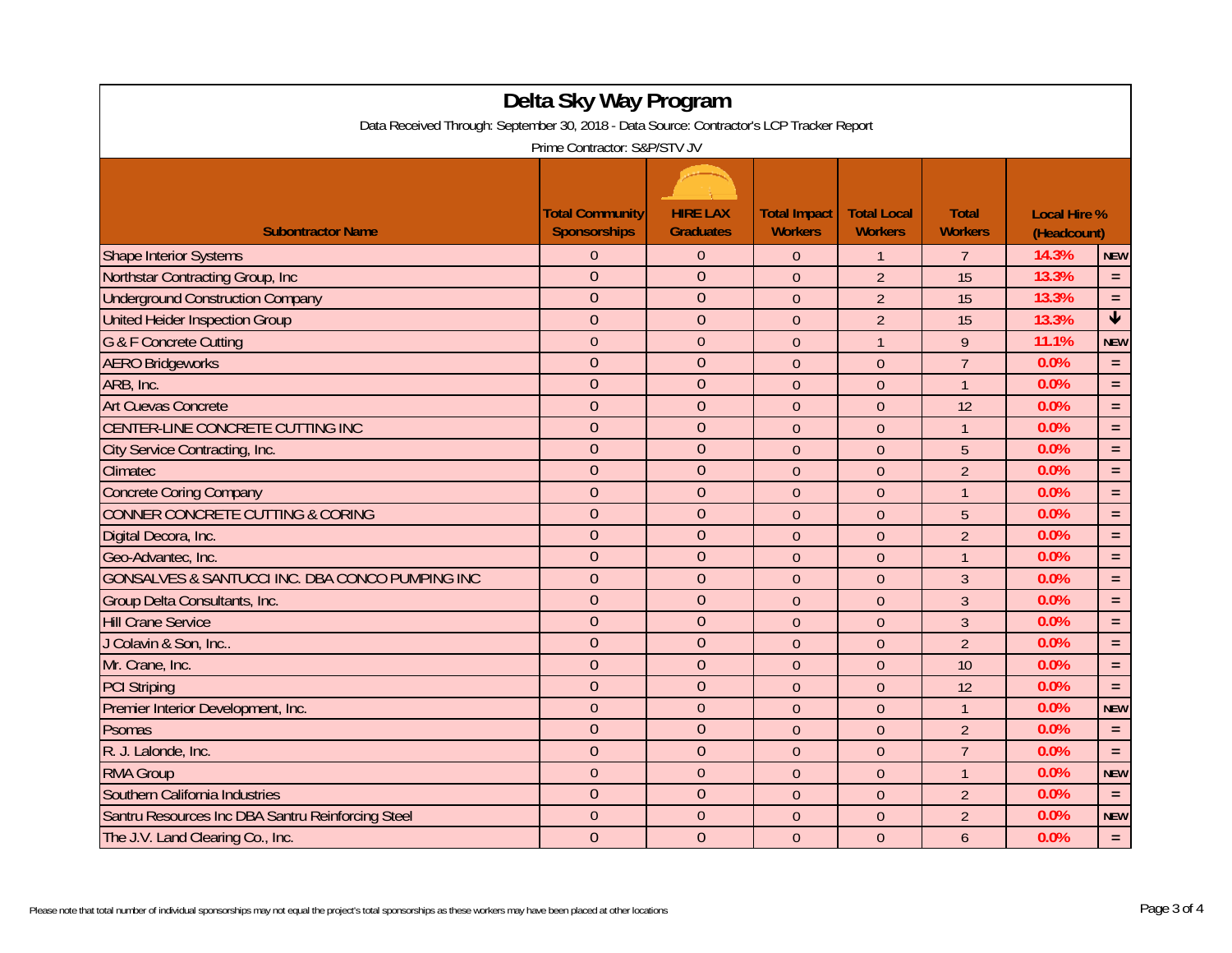| Delta Sky Way Program                                                                    |                        |                  |                     |                    |                |                     |                         |  |
|------------------------------------------------------------------------------------------|------------------------|------------------|---------------------|--------------------|----------------|---------------------|-------------------------|--|
| Data Received Through: September 30, 2018 - Data Source: Contractor's LCP Tracker Report |                        |                  |                     |                    |                |                     |                         |  |
| Prime Contractor: S&P/STV JV                                                             |                        |                  |                     |                    |                |                     |                         |  |
|                                                                                          |                        |                  |                     |                    |                |                     |                         |  |
|                                                                                          | <b>Total Community</b> | <b>HIRE LAX</b>  | <b>Total Impact</b> | <b>Total Local</b> | <b>Total</b>   | <b>Local Hire %</b> |                         |  |
| <b>Subontractor Name</b>                                                                 | <b>Sponsorships</b>    | <b>Graduates</b> | <b>Workers</b>      | <b>Workers</b>     | <b>Workers</b> | (Headcount)         |                         |  |
| <b>Shape Interior Systems</b>                                                            | $\Omega$               | $\overline{0}$   | $\Omega$            | $\mathbf{1}$       | $\overline{7}$ | 14.3%               | <b>NEW</b>              |  |
| Northstar Contracting Group, Inc.                                                        | $\overline{0}$         | $\overline{0}$   | $\mathbf{0}$        | $\overline{2}$     | 15             | 13.3%               | $\equiv$                |  |
| <b>Underground Construction Company</b>                                                  | $\overline{0}$         | $\overline{0}$   | $\mathbf{0}$        | $\overline{2}$     | 15             | 13.3%               | $\equiv$                |  |
| <b>United Heider Inspection Group</b>                                                    | $\overline{0}$         | $\mathbf{0}$     | $\mathbf{0}$        | $\overline{2}$     | 15             | 13.3%               | $\overline{\textbf{r}}$ |  |
| <b>G &amp; F Concrete Cutting</b>                                                        | $\overline{0}$         | $\boldsymbol{0}$ | $\boldsymbol{0}$    | $\mathbf{1}$       | $\overline{9}$ | 11.1%               | <b>NEW</b>              |  |
| <b>AERO Bridgeworks</b>                                                                  | $\overline{0}$         | $\mathbf{0}$     | $\theta$            | $\theta$           | $\overline{7}$ | 0.0%                | $\equiv$                |  |
| ARB, Inc.                                                                                | $\overline{0}$         | $\overline{0}$   | $\overline{0}$      | $\theta$           | $\overline{1}$ | 0.0%                | $\equiv$                |  |
| <b>Art Cuevas Concrete</b>                                                               | $\overline{0}$         | $\overline{0}$   | $\mathbf{0}$        | $\theta$           | 12             | 0.0%                | $\equiv$                |  |
| CENTER-LINE CONCRETE CUTTING INC                                                         | $\overline{0}$         | $\overline{0}$   | $\mathbf{0}$        | $\theta$           | $\mathbf{1}$   | 0.0%                | $\equiv$                |  |
| City Service Contracting, Inc.                                                           | $\overline{0}$         | $\overline{0}$   | $\mathbf{0}$        | $\Omega$           | 5              | 0.0%                | $\equiv$                |  |
| Climatec                                                                                 | $\overline{0}$         | $\overline{0}$   | $\theta$            | $\theta$           | $\overline{2}$ | 0.0%                | $\equiv$                |  |
| <b>Concrete Coring Company</b>                                                           | $\overline{0}$         | $\overline{0}$   | $\mathbf{0}$        | $\mathbf{0}$       | $\mathbf{1}$   | 0.0%                | $\equiv$                |  |
| CONNER CONCRETE CUTTING & CORING                                                         | $\overline{0}$         | $\overline{0}$   | $\mathbf{0}$        | $\overline{0}$     | 5              | 0.0%                | $\equiv$                |  |
| Digital Decora, Inc.                                                                     | $\overline{0}$         | $\mathbf{0}$     | $\boldsymbol{0}$    | $\boldsymbol{0}$   | $\overline{2}$ | 0.0%                | $\equiv$                |  |
| Geo-Advantec, Inc.                                                                       | $\overline{0}$         | $\mathbf{0}$     | $\boldsymbol{0}$    | $\theta$           | $\mathbf{1}$   | 0.0%                | $\equiv$                |  |
| GONSALVES & SANTUCCI INC. DBA CONCO PUMPING INC                                          | $\overline{0}$         | $\mathbf{0}$     | $\theta$            | $\theta$           | 3              | 0.0%                | $\equiv$                |  |
| Group Delta Consultants, Inc.                                                            | $\overline{0}$         | $\mathbf{0}$     | $\mathbf{0}$        | $\theta$           | $\overline{3}$ | 0.0%                | $\equiv$                |  |
| <b>Hill Crane Service</b>                                                                | $\overline{0}$         | $\overline{0}$   | $\mathbf{0}$        | $\theta$           | 3              | 0.0%                | $\equiv$                |  |
| J Colavin & Son, Inc                                                                     | $\overline{0}$         | $\overline{0}$   | $\overline{0}$      | $\overline{0}$     | $\overline{2}$ | 0.0%                | $\equiv$                |  |
| Mr. Crane, Inc.                                                                          | $\overline{0}$         | $\overline{0}$   | $\theta$            | $\theta$           | 10             | 0.0%                | $\equiv$                |  |
| <b>PCI Striping</b>                                                                      | $\overline{0}$         | $\overline{0}$   | $\mathbf{0}$        | $\theta$           | 12             | 0.0%                | $\equiv$                |  |
| Premier Interior Development, Inc.                                                       | $\overline{0}$         | $\overline{0}$   | $\mathbf{0}$        | $\overline{0}$     | $\overline{1}$ | 0.0%                | <b>NEW</b>              |  |
| Psomas                                                                                   | $\overline{0}$         | $\mathbf{0}$     | $\mathbf{0}$        | $\theta$           | $\overline{2}$ | 0.0%                | $\equiv$                |  |
| R. J. Lalonde, Inc.                                                                      | $\overline{0}$         | $\mathbf{0}$     | $\mathbf{0}$        | $\theta$           | $\overline{7}$ | 0.0%                | $\equiv$                |  |
| <b>RMA Group</b>                                                                         | $\theta$               | $\mathbf{0}$     | $\theta$            | $\overline{0}$     | $\mathbf{1}$   | 0.0%                | <b>NEW</b>              |  |
| Southern California Industries                                                           | $\overline{0}$         | $\overline{0}$   | $\theta$            | $\theta$           | $\overline{2}$ | 0.0%                | $\equiv$                |  |
| Santru Resources Inc DBA Santru Reinforcing Steel                                        | $\overline{0}$         | $\mathbf{0}$     | $\theta$            | $\theta$           | $\overline{2}$ | 0.0%                | <b>NEW</b>              |  |
| The J.V. Land Clearing Co., Inc.                                                         | $\overline{0}$         | $\overline{0}$   | $\Omega$            | $\theta$           | 6              | 0.0%                | $\equiv$                |  |